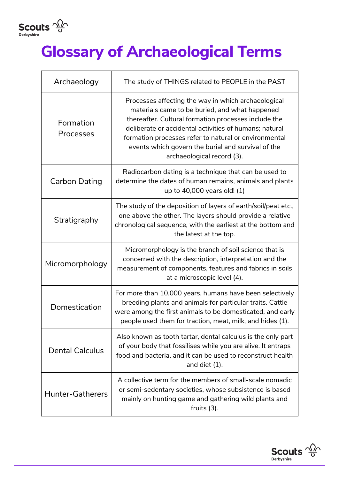

## **Glossary of Archaeological Terms**

| Archaeology             | The study of THINGS related to PEOPLE in the PAST                                                                                                                                                                                                                                                                                                                    |
|-------------------------|----------------------------------------------------------------------------------------------------------------------------------------------------------------------------------------------------------------------------------------------------------------------------------------------------------------------------------------------------------------------|
| Formation<br>Processes  | Processes affecting the way in which archaeological<br>materials came to be buried, and what happened<br>thereafter. Cultural formation processes include the<br>deliberate or accidental activities of humans; natural<br>formation processes refer to natural or environmental<br>events which govern the burial and survival of the<br>archaeological record (3). |
| Carbon Dating           | Radiocarbon dating is a technique that can be used to<br>determine the dates of human remains, animals and plants<br>up to 40,000 years old! (1)                                                                                                                                                                                                                     |
| Stratigraphy            | The study of the deposition of layers of earth/soil/peat etc.,<br>one above the other. The layers should provide a relative<br>chronological sequence, with the earliest at the bottom and<br>the latest at the top.                                                                                                                                                 |
| Micromorphology         | Micromorphology is the branch of soil science that is<br>concerned with the description, interpretation and the<br>measurement of components, features and fabrics in soils<br>at a microscopic level (4).                                                                                                                                                           |
| Domestication           | For more than 10,000 years, humans have been selectively<br>breeding plants and animals for particular traits. Cattle<br>were among the first animals to be domesticated, and early<br>people used them for traction, meat, milk, and hides (1).                                                                                                                     |
| <b>Dental Calculus</b>  | Also known as tooth tartar, dental calculus is the only part<br>of your body that fossilises while you are alive. It entraps<br>food and bacteria, and it can be used to reconstruct health<br>and diet $(1)$ .                                                                                                                                                      |
| <b>Hunter-Gatherers</b> | A collective term for the members of small-scale nomadic<br>or semi-sedentary societies, whose subsistence is based<br>mainly on hunting game and gathering wild plants and<br>fruits $(3)$ .                                                                                                                                                                        |

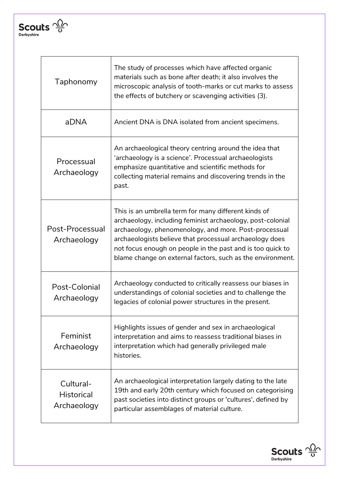

 $\mathbf{r}$ 

| Taphonomy                                     | The study of processes which have affected organic<br>materials such as bone after death; it also involves the<br>microscopic analysis of tooth-marks or cut marks to assess<br>the effects of butchery or scavenging activities (3).                                                                                                                              |
|-----------------------------------------------|--------------------------------------------------------------------------------------------------------------------------------------------------------------------------------------------------------------------------------------------------------------------------------------------------------------------------------------------------------------------|
| aDNA                                          | Ancient DNA is DNA isolated from ancient specimens.                                                                                                                                                                                                                                                                                                                |
| Processual<br>Archaeology                     | An archaeological theory centring around the idea that<br>'archaeology is a science'. Processual archaeologists<br>emphasize quantitative and scientific methods for<br>collecting material remains and discovering trends in the<br>past.                                                                                                                         |
| Post-Processual<br>Archaeology                | This is an umbrella term for many different kinds of<br>archaeology, including feminist archaeology, post-colonial<br>archaeology, phenomenology, and more. Post-processual<br>archaeologists believe that processual archaeology does<br>not focus enough on people in the past and is too quick to<br>blame change on external factors, such as the environment. |
| Post-Colonial<br>Archaeology                  | Archaeology conducted to critically reassess our biases in<br>understandings of colonial societies and to challenge the<br>legacies of colonial power structures in the present.                                                                                                                                                                                   |
| Feminist<br>Archaeology                       | Highlights issues of gender and sex in archaeological<br>interpretation and aims to reassess traditional biases in<br>interpretation which had generally privileged male<br>histories.                                                                                                                                                                             |
| Cultural-<br><b>Historical</b><br>Archaeology | An archaeological interpretation largely dating to the late<br>19th and early 20th century which focused on categorising<br>past societies into distinct groups or 'cultures', defined by<br>particular assemblages of material culture.                                                                                                                           |



٦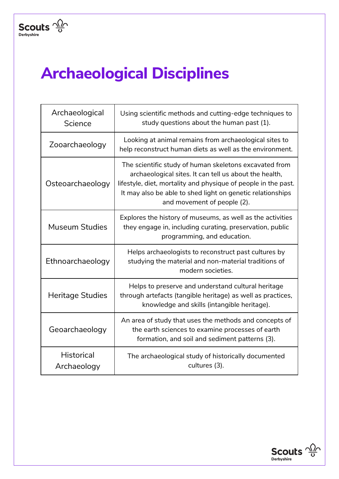

## **Archaeological Disciplines**

| Archaeological<br>Science        | Using scientific methods and cutting-edge techniques to<br>study questions about the human past (1).                                                                                                                                                                            |
|----------------------------------|---------------------------------------------------------------------------------------------------------------------------------------------------------------------------------------------------------------------------------------------------------------------------------|
| Zooarchaeology                   | Looking at animal remains from archaeological sites to<br>help reconstruct human diets as well as the environment.                                                                                                                                                              |
| Osteoarchaeology                 | The scientific study of human skeletons excavated from<br>archaeological sites. It can tell us about the health,<br>lifestyle, diet, mortality and physique of people in the past.<br>It may also be able to shed light on genetic relationships<br>and movement of people (2). |
| <b>Museum Studies</b>            | Explores the history of museums, as well as the activities<br>they engage in, including curating, preservation, public<br>programming, and education.                                                                                                                           |
| Ethnoarchaeology                 | Helps archaeologists to reconstruct past cultures by<br>studying the material and non-material traditions of<br>modern societies.                                                                                                                                               |
| Heritage Studies                 | Helps to preserve and understand cultural heritage<br>through artefacts (tangible heritage) as well as practices,<br>knowledge and skills (intangible heritage).                                                                                                                |
| Geoarchaeology                   | An area of study that uses the methods and concepts of<br>the earth sciences to examine processes of earth<br>formation, and soil and sediment patterns (3).                                                                                                                    |
| <b>Historical</b><br>Archaeology | The archaeological study of historically documented<br>cultures (3).                                                                                                                                                                                                            |

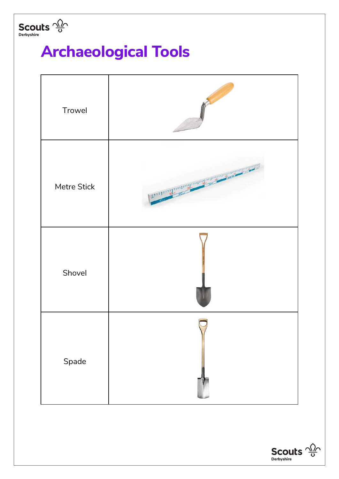

## **Archaeological Tools**



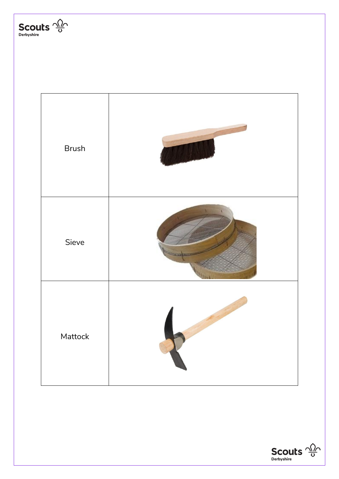